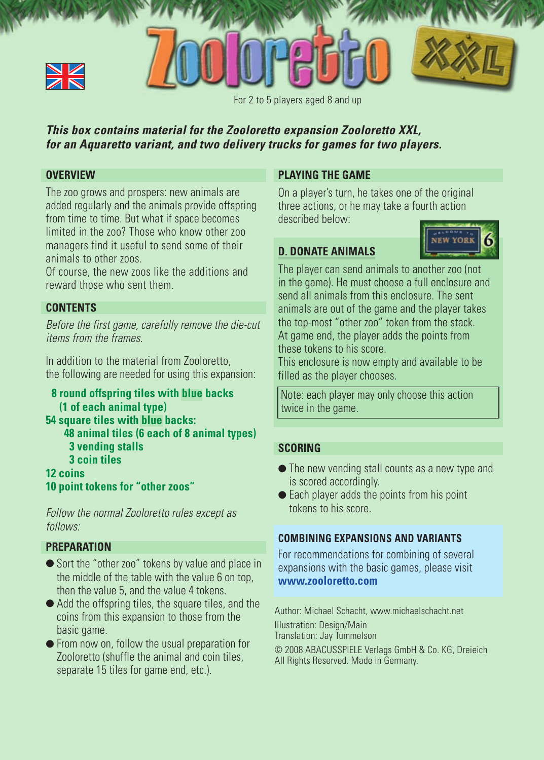



For 2 to 5 players aged 8 and up

## **This box contains material for the Zooloretto expansion Zooloretto XXL, for an Aquaretto variant, and two delivery trucks for games for two players.**

## **OVERVIEW**

The zoo grows and prospers: new animals are added regularly and the animals provide offspring from time to time. But what if space becomes limited in the zoo? Those who know other zoo managers find it useful to send some of their animals to other zoos.

Of course, the new zoos like the additions and reward those who sent them.

## **CONTENTS**

Before the first game, carefully remove the die-cut items from the frames.

In addition to the material from Zooloretto, the following are needed for using this expansion:

**8 round offspring tiles with blue backs (1 of each animal type) 54 square tiles with blue backs: 48 animal tiles (6 each of 8 animal types) 3 vending stalls 3 coin tiles 12 coins 10 point tokens for "other zoos"**

Follow the normal Zooloretto rules except as follows:

#### **PREPARATION**

- Sort the "other zoo" tokens by value and place in the middle of the table with the value 6 on top, then the value 5, and the value 4 tokens.
- Add the offspring tiles, the square tiles, and the coins from this expansion to those from the basic game.
- From now on, follow the usual preparation for Zooloretto (shuffle the animal and coin tiles, separate 15 tiles for game end, etc.).

### **PLAYING THE GAME**

On a player's turn, he takes one of the original three actions, or he may take a fourth action described below:

## **D. DONATE ANIMALS**



The player can send animals to another zoo (not in the game). He must choose a full enclosure and send all animals from this enclosure. The sent animals are out of the game and the player takes the top-most "other zoo" token from the stack. At game end, the player adds the points from these tokens to his score.

This enclosure is now empty and available to be filled as the player chooses.

Note: each player may only choose this action twice in the game.

## **SCORING**

- The new vending stall counts as a new type and is scored accordingly.
- $\bullet$  Each player adds the points from his point tokens to his score.

## **COMBINING EXPANSIONS AND VARIANTS**

For recommendations for combining of several expansions with the basic games, please visit **www.zooloretto.com**

Author: Michael Schacht, www.michaelschacht.net Illustration: Design/Main Translation: Jay Tummelson

© 2008 ABACUSSPIELE Verlags GmbH & Co. KG, Dreieich All Rights Reserved. Made in Germany.